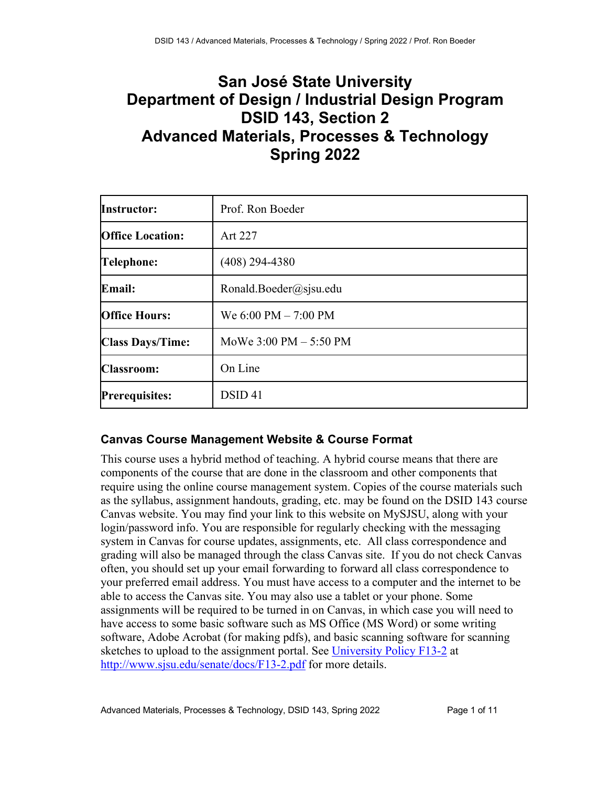# **San José State University Department of Design / Industrial Design Program DSID 143, Section 2 Advanced Materials, Processes & Technology Spring 2022**

| <b>Instructor:</b>      | Prof. Ron Boeder                         |
|-------------------------|------------------------------------------|
| <b>Office Location:</b> | Art 227                                  |
| <b>Telephone:</b>       | $(408)$ 294-4380                         |
| Email:                  | Ronald.Boeder@sjsu.edu                   |
| <b>Office Hours:</b>    | We 6:00 PM - 7:00 PM                     |
| <b>Class Days/Time:</b> | MoWe $3:00 \text{ PM} - 5:50 \text{ PM}$ |
| <b>Classroom:</b>       | On Line                                  |
| <b>Prerequisites:</b>   | DSID <sub>41</sub>                       |

# **Canvas Course Management Website & Course Format**

This course uses a hybrid method of teaching. A hybrid course means that there are components of the course that are done in the classroom and other components that require using the online course management system. Copies of the course materials such as the syllabus, assignment handouts, grading, etc. may be found on the DSID 143 course Canvas website. You may find your link to this website on MySJSU, along with your login/password info. You are responsible for regularly checking with the messaging system in Canvas for course updates, assignments, etc. All class correspondence and grading will also be managed through the class Canvas site. If you do not check Canvas often, you should set up your email forwarding to forward all class correspondence to your preferred email address. You must have access to a computer and the internet to be able to access the Canvas site. You may also use a tablet or your phone. Some assignments will be required to be turned in on Canvas, in which case you will need to have access to some basic software such as MS Office (MS Word) or some writing software, Adobe Acrobat (for making pdfs), and basic scanning software for scanning sketches to upload to the assignment portal. See University Policy F13-2 at http://www.sjsu.edu/senate/docs/F13-2.pdf for more details.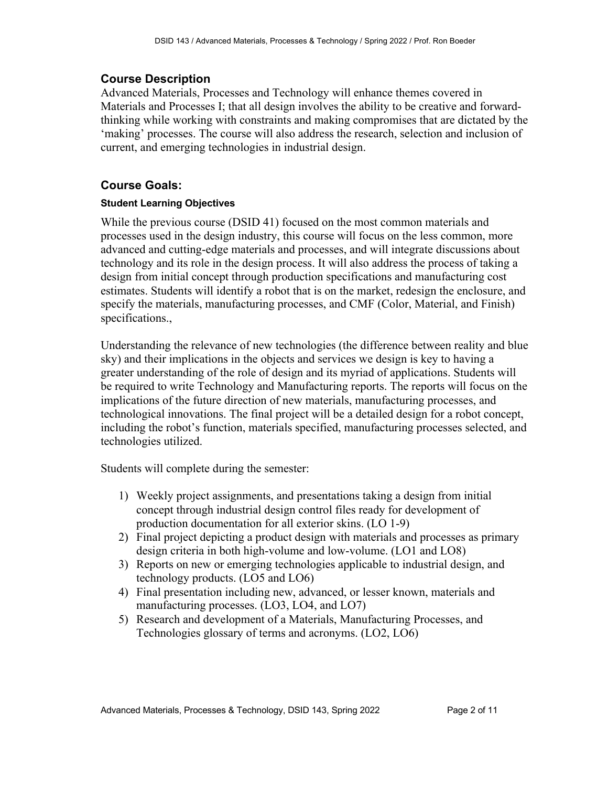## **Course Description**

Advanced Materials, Processes and Technology will enhance themes covered in Materials and Processes I; that all design involves the ability to be creative and forwardthinking while working with constraints and making compromises that are dictated by the 'making' processes. The course will also address the research, selection and inclusion of current, and emerging technologies in industrial design.

## **Course Goals:**

## **Student Learning Objectives**

While the previous course (DSID 41) focused on the most common materials and processes used in the design industry, this course will focus on the less common, more advanced and cutting-edge materials and processes, and will integrate discussions about technology and its role in the design process. It will also address the process of taking a design from initial concept through production specifications and manufacturing cost estimates. Students will identify a robot that is on the market, redesign the enclosure, and specify the materials, manufacturing processes, and CMF (Color, Material, and Finish) specifications.,

Understanding the relevance of new technologies (the difference between reality and blue sky) and their implications in the objects and services we design is key to having a greater understanding of the role of design and its myriad of applications. Students will be required to write Technology and Manufacturing reports. The reports will focus on the implications of the future direction of new materials, manufacturing processes, and technological innovations. The final project will be a detailed design for a robot concept, including the robot's function, materials specified, manufacturing processes selected, and technologies utilized.

Students will complete during the semester:

- 1) Weekly project assignments, and presentations taking a design from initial concept through industrial design control files ready for development of production documentation for all exterior skins. (LO 1-9)
- 2) Final project depicting a product design with materials and processes as primary design criteria in both high-volume and low-volume. (LO1 and LO8)
- 3) Reports on new or emerging technologies applicable to industrial design, and technology products. (LO5 and LO6)
- 4) Final presentation including new, advanced, or lesser known, materials and manufacturing processes. (LO3, LO4, and LO7)
- 5) Research and development of a Materials, Manufacturing Processes, and Technologies glossary of terms and acronyms. (LO2, LO6)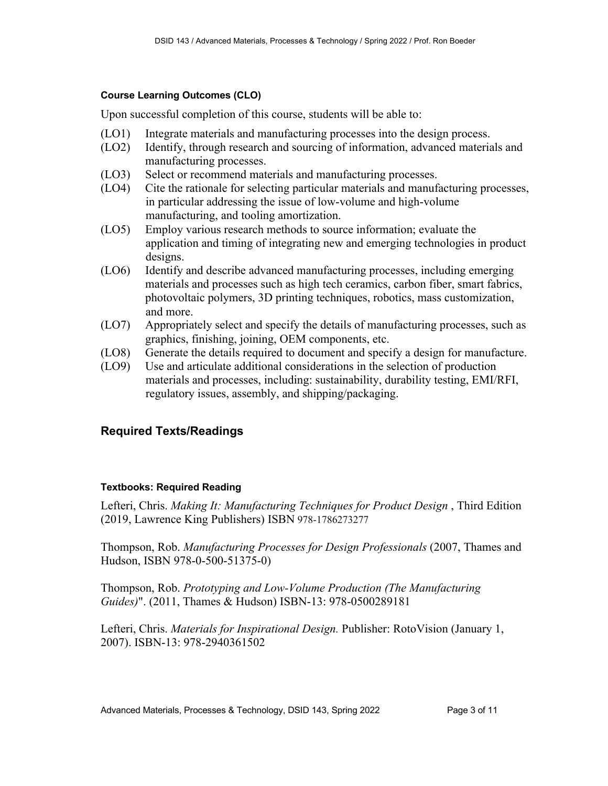### **Course Learning Outcomes (CLO)**

Upon successful completion of this course, students will be able to:

- (LO1) Integrate materials and manufacturing processes into the design process.
- (LO2) Identify, through research and sourcing of information, advanced materials and manufacturing processes.
- (LO3) Select or recommend materials and manufacturing processes.
- (LO4) Cite the rationale for selecting particular materials and manufacturing processes, in particular addressing the issue of low-volume and high-volume manufacturing, and tooling amortization.
- (LO5) Employ various research methods to source information; evaluate the application and timing of integrating new and emerging technologies in product designs.
- (LO6) Identify and describe advanced manufacturing processes, including emerging materials and processes such as high tech ceramics, carbon fiber, smart fabrics, photovoltaic polymers, 3D printing techniques, robotics, mass customization, and more.
- (LO7) Appropriately select and specify the details of manufacturing processes, such as graphics, finishing, joining, OEM components, etc.
- (LO8) Generate the details required to document and specify a design for manufacture.
- (LO9) Use and articulate additional considerations in the selection of production materials and processes, including: sustainability, durability testing, EMI/RFI, regulatory issues, assembly, and shipping/packaging.

## **Required Texts/Readings**

## **Textbooks: Required Reading**

Lefteri, Chris. *Making It: Manufacturing Techniques for Product Design* , Third Edition (2019, Lawrence King Publishers) ISBN 978-1786273277

Thompson, Rob. *Manufacturing Processes for Design Professionals* (2007, Thames and Hudson, ISBN 978-0-500-51375-0)

Thompson, Rob. *Prototyping and Low-Volume Production (The Manufacturing Guides)*". (2011, Thames & Hudson) ISBN-13: 978-0500289181

Lefteri, Chris. *Materials for Inspirational Design.* Publisher: RotoVision (January 1, 2007). ISBN-13: 978-2940361502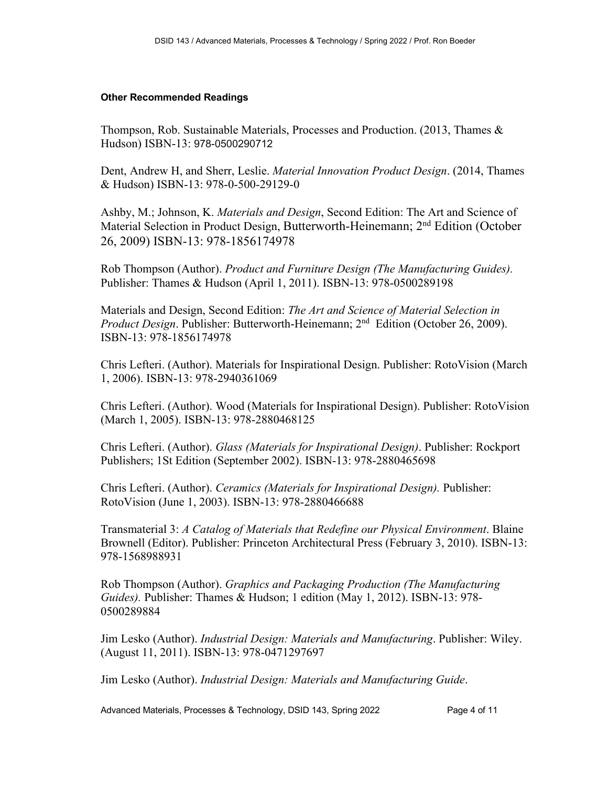#### **Other Recommended Readings**

Thompson, Rob. Sustainable Materials, Processes and Production. (2013, Thames & Hudson) ISBN-13: 978-0500290712

Dent, Andrew H, and Sherr, Leslie. *Material Innovation Product Design*. (2014, Thames & Hudson) ISBN-13: 978-0-500-29129-0

Ashby, M.; Johnson, K. *Materials and Design*, Second Edition: The Art and Science of Material Selection in Product Design, Butterworth-Heinemann; 2nd Edition (October 26, 2009) ISBN-13: 978-1856174978

Rob Thompson (Author). *Product and Furniture Design (The Manufacturing Guides).* Publisher: Thames & Hudson (April 1, 2011). ISBN-13: 978-0500289198

Materials and Design, Second Edition: *The Art and Science of Material Selection in Product Design*. Publisher: Butterworth-Heinemann; 2<sup>nd</sup> Edition (October 26, 2009). ISBN-13: 978-1856174978

Chris Lefteri. (Author). Materials for Inspirational Design. Publisher: RotoVision (March 1, 2006). ISBN-13: 978-2940361069

Chris Lefteri. (Author). Wood (Materials for Inspirational Design). Publisher: RotoVision (March 1, 2005). ISBN-13: 978-2880468125

Chris Lefteri. (Author). *Glass (Materials for Inspirational Design)*. Publisher: Rockport Publishers; 1St Edition (September 2002). ISBN-13: 978-2880465698

Chris Lefteri. (Author). *Ceramics (Materials for Inspirational Design).* Publisher: RotoVision (June 1, 2003). ISBN-13: 978-2880466688

Transmaterial 3: *A Catalog of Materials that Redefine our Physical Environment*. Blaine Brownell (Editor). Publisher: Princeton Architectural Press (February 3, 2010). ISBN-13: 978-1568988931

Rob Thompson (Author). *Graphics and Packaging Production (The Manufacturing Guides).* Publisher: Thames & Hudson; 1 edition (May 1, 2012). ISBN-13: 978- 0500289884

Jim Lesko (Author). *Industrial Design: Materials and Manufacturing*. Publisher: Wiley. (August 11, 2011). ISBN-13: 978-0471297697

Jim Lesko (Author). *Industrial Design: Materials and Manufacturing Guide*.

Advanced Materials, Processes & Technology, DSID 143, Spring 2022 Page 4 of 11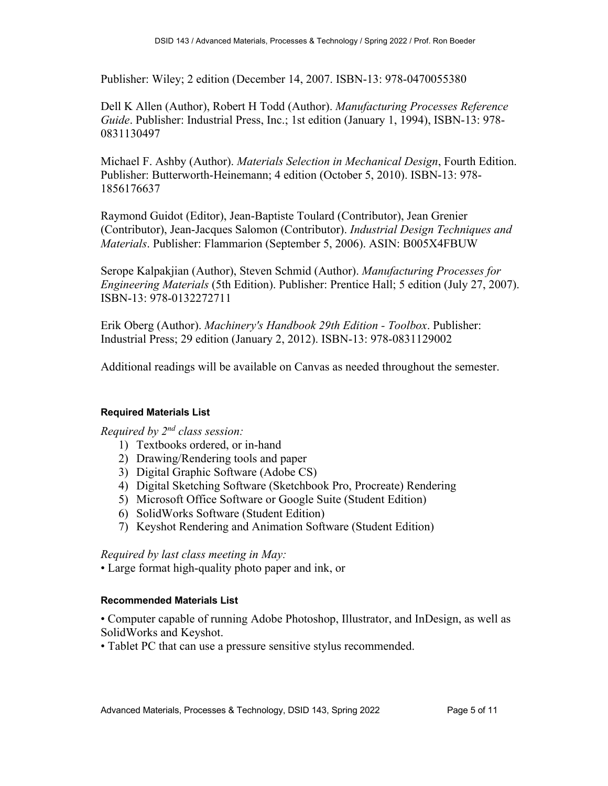Publisher: Wiley; 2 edition (December 14, 2007. ISBN-13: 978-0470055380

Dell K Allen (Author), Robert H Todd (Author). *Manufacturing Processes Reference Guide*. Publisher: Industrial Press, Inc.; 1st edition (January 1, 1994), ISBN-13: 978- 0831130497

Michael F. Ashby (Author). *Materials Selection in Mechanical Design*, Fourth Edition. Publisher: Butterworth-Heinemann; 4 edition (October 5, 2010). ISBN-13: 978- 1856176637

Raymond Guidot (Editor), Jean-Baptiste Toulard (Contributor), Jean Grenier (Contributor), Jean-Jacques Salomon (Contributor). *Industrial Design Techniques and Materials*. Publisher: Flammarion (September 5, 2006). ASIN: B005X4FBUW

Serope Kalpakjian (Author), Steven Schmid (Author). *Manufacturing Processes for Engineering Materials* (5th Edition). Publisher: Prentice Hall; 5 edition (July 27, 2007). ISBN-13: 978-0132272711

Erik Oberg (Author). *Machinery's Handbook 29th Edition - Toolbox*. Publisher: Industrial Press; 29 edition (January 2, 2012). ISBN-13: 978-0831129002

Additional readings will be available on Canvas as needed throughout the semester.

#### **Required Materials List**

*Required by 2nd class session:*

- 1) Textbooks ordered, or in-hand
- 2) Drawing/Rendering tools and paper
- 3) Digital Graphic Software (Adobe CS)
- 4) Digital Sketching Software (Sketchbook Pro, Procreate) Rendering
- 5) Microsoft Office Software or Google Suite (Student Edition)
- 6) SolidWorks Software (Student Edition)
- 7) Keyshot Rendering and Animation Software (Student Edition)

#### *Required by last class meeting in May:*

• Large format high-quality photo paper and ink, or

#### **Recommended Materials List**

• Computer capable of running Adobe Photoshop, Illustrator, and InDesign, as well as SolidWorks and Keyshot.

• Tablet PC that can use a pressure sensitive stylus recommended.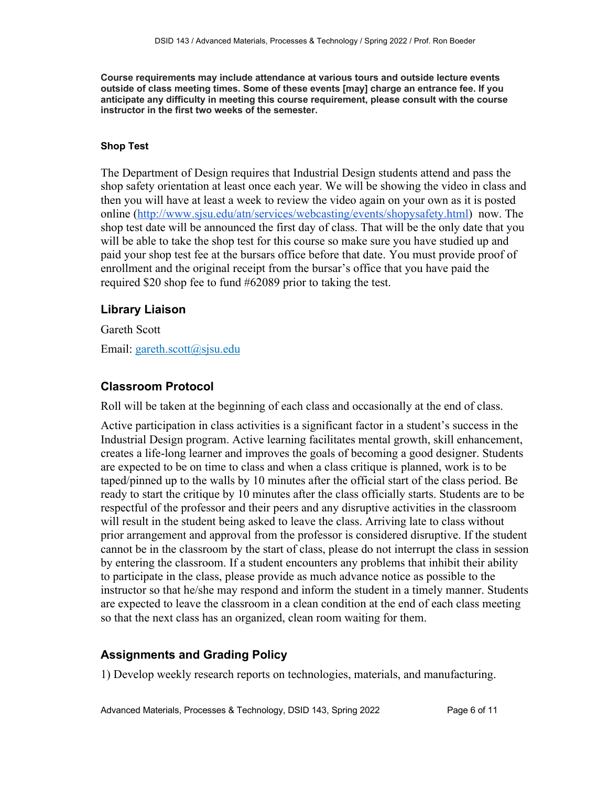**Course requirements may include attendance at various tours and outside lecture events outside of class meeting times. Some of these events [may] charge an entrance fee. If you anticipate any difficulty in meeting this course requirement, please consult with the course instructor in the first two weeks of the semester.**

#### **Shop Test**

The Department of Design requires that Industrial Design students attend and pass the shop safety orientation at least once each year. We will be showing the video in class and then you will have at least a week to review the video again on your own as it is posted online (http://www.sjsu.edu/atn/services/webcasting/events/shopysafety.html) now. The shop test date will be announced the first day of class. That will be the only date that you will be able to take the shop test for this course so make sure you have studied up and paid your shop test fee at the bursars office before that date. You must provide proof of enrollment and the original receipt from the bursar's office that you have paid the required \$20 shop fee to fund #62089 prior to taking the test.

## **Library Liaison**

Gareth Scott

Email: gareth.scott@sjsu.edu

## **Classroom Protocol**

Roll will be taken at the beginning of each class and occasionally at the end of class.

Active participation in class activities is a significant factor in a student's success in the Industrial Design program. Active learning facilitates mental growth, skill enhancement, creates a life-long learner and improves the goals of becoming a good designer. Students are expected to be on time to class and when a class critique is planned, work is to be taped/pinned up to the walls by 10 minutes after the official start of the class period. Be ready to start the critique by 10 minutes after the class officially starts. Students are to be respectful of the professor and their peers and any disruptive activities in the classroom will result in the student being asked to leave the class. Arriving late to class without prior arrangement and approval from the professor is considered disruptive. If the student cannot be in the classroom by the start of class, please do not interrupt the class in session by entering the classroom. If a student encounters any problems that inhibit their ability to participate in the class, please provide as much advance notice as possible to the instructor so that he/she may respond and inform the student in a timely manner. Students are expected to leave the classroom in a clean condition at the end of each class meeting so that the next class has an organized, clean room waiting for them.

## **Assignments and Grading Policy**

1) Develop weekly research reports on technologies, materials, and manufacturing.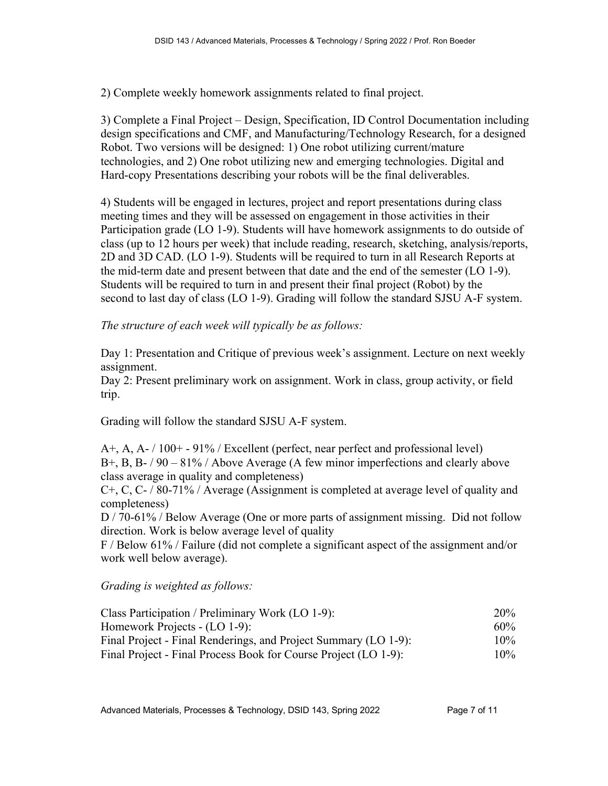2) Complete weekly homework assignments related to final project.

3) Complete a Final Project – Design, Specification, ID Control Documentation including design specifications and CMF, and Manufacturing/Technology Research, for a designed Robot. Two versions will be designed: 1) One robot utilizing current/mature technologies, and 2) One robot utilizing new and emerging technologies. Digital and Hard-copy Presentations describing your robots will be the final deliverables.

4) Students will be engaged in lectures, project and report presentations during class meeting times and they will be assessed on engagement in those activities in their Participation grade (LO 1-9). Students will have homework assignments to do outside of class (up to 12 hours per week) that include reading, research, sketching, analysis/reports, 2D and 3D CAD. (LO 1-9). Students will be required to turn in all Research Reports at the mid-term date and present between that date and the end of the semester (LO 1-9). Students will be required to turn in and present their final project (Robot) by the second to last day of class (LO 1-9). Grading will follow the standard SJSU A-F system.

*The structure of each week will typically be as follows:*

Day 1: Presentation and Critique of previous week's assignment. Lecture on next weekly assignment.

Day 2: Present preliminary work on assignment. Work in class, group activity, or field trip.

Grading will follow the standard SJSU A-F system.

A+, A, A- / 100+ - 91% / Excellent (perfect, near perfect and professional level) B+, B, B- / 90 – 81% / Above Average (A few minor imperfections and clearly above class average in quality and completeness)

C+, C, C- / 80-71% / Average (Assignment is completed at average level of quality and completeness)

D / 70-61% / Below Average (One or more parts of assignment missing. Did not follow direction. Work is below average level of quality

F / Below 61% / Failure (did not complete a significant aspect of the assignment and/or work well below average).

*Grading is weighted as follows:*

| Class Participation / Preliminary Work (LO 1-9):                |        |  |
|-----------------------------------------------------------------|--------|--|
| Homework Projects - (LO 1-9):                                   | $60\%$ |  |
| Final Project - Final Renderings, and Project Summary (LO 1-9): | $10\%$ |  |
| Final Project - Final Process Book for Course Project (LO 1-9): | $10\%$ |  |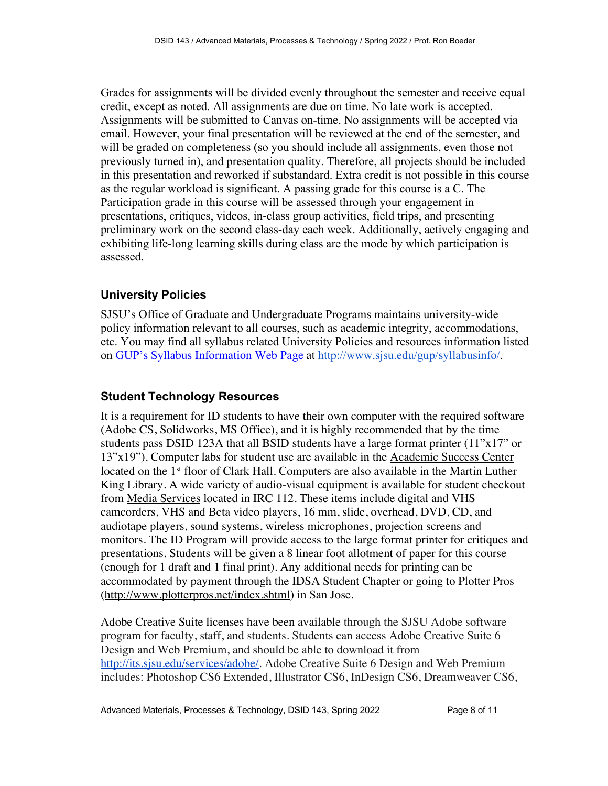Grades for assignments will be divided evenly throughout the semester and receive equal credit, except as noted. All assignments are due on time. No late work is accepted. Assignments will be submitted to Canvas on-time. No assignments will be accepted via email. However, your final presentation will be reviewed at the end of the semester, and will be graded on completeness (so you should include all assignments, even those not previously turned in), and presentation quality. Therefore, all projects should be included in this presentation and reworked if substandard. Extra credit is not possible in this course as the regular workload is significant. A passing grade for this course is a C. The Participation grade in this course will be assessed through your engagement in presentations, critiques, videos, in-class group activities, field trips, and presenting preliminary work on the second class-day each week. Additionally, actively engaging and exhibiting life-long learning skills during class are the mode by which participation is assessed.

## **University Policies**

SJSU's Office of Graduate and Undergraduate Programs maintains university-wide policy information relevant to all courses, such as academic integrity, accommodations, etc. You may find all syllabus related University Policies and resources information listed on GUP's Syllabus Information Web Page at http://www.sjsu.edu/gup/syllabusinfo/.

## **Student Technology Resources**

It is a requirement for ID students to have their own computer with the required software (Adobe CS, Solidworks, MS Office), and it is highly recommended that by the time students pass DSID 123A that all BSID students have a large format printer (11"x17" or 13"x19"). Computer labs for student use are available in the Academic Success Center located on the 1<sup>st</sup> floor of Clark Hall. Computers are also available in the Martin Luther King Library. A wide variety of audio-visual equipment is available for student checkout from Media Services located in IRC 112. These items include digital and VHS camcorders, VHS and Beta video players, 16 mm, slide, overhead, DVD, CD, and audiotape players, sound systems, wireless microphones, projection screens and monitors. The ID Program will provide access to the large format printer for critiques and presentations. Students will be given a 8 linear foot allotment of paper for this course (enough for 1 draft and 1 final print). Any additional needs for printing can be accommodated by payment through the IDSA Student Chapter or going to Plotter Pros (http://www.plotterpros.net/index.shtml) in San Jose.

Adobe Creative Suite licenses have been available through the SJSU Adobe software program for faculty, staff, and students. Students can access Adobe Creative Suite 6 Design and Web Premium, and should be able to download it from http://its.sjsu.edu/services/adobe/. Adobe Creative Suite 6 Design and Web Premium includes: Photoshop CS6 Extended, Illustrator CS6, InDesign CS6, Dreamweaver CS6,

Advanced Materials, Processes & Technology, DSID 143, Spring 2022 Page 8 of 11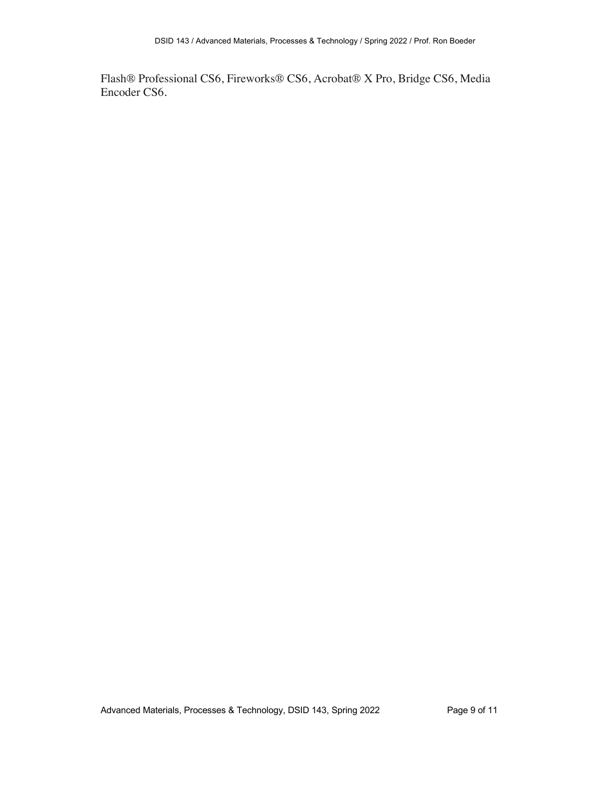Flash® Professional CS6, Fireworks® CS6, Acrobat® X Pro, Bridge CS6, Media Encoder CS6.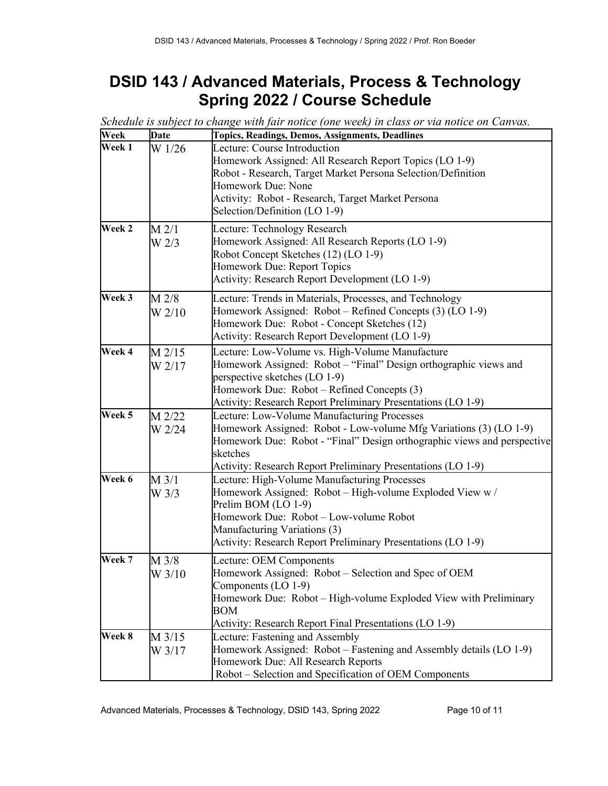# **DSID 143 / Advanced Materials, Process & Technology Spring 2022 / Course Schedule**

| Week   | <b>Date</b>                  | <b>Topics, Readings, Demos, Assignments, Deadlines</b>                                                                                                                                                                                                                    |
|--------|------------------------------|---------------------------------------------------------------------------------------------------------------------------------------------------------------------------------------------------------------------------------------------------------------------------|
| Week 1 | W 1/26                       | Lecture: Course Introduction<br>Homework Assigned: All Research Report Topics (LO 1-9)<br>Robot - Research, Target Market Persona Selection/Definition<br><b>Homework Due: None</b><br>Activity: Robot - Research, Target Market Persona<br>Selection/Definition (LO 1-9) |
| Week 2 | $M$ 2/1<br>W <sub>2/3</sub>  | Lecture: Technology Research<br>Homework Assigned: All Research Reports (LO 1-9)<br>Robot Concept Sketches (12) (LO 1-9)<br>Homework Due: Report Topics<br>Activity: Research Report Development (LO 1-9)                                                                 |
| Week 3 | $M$ 2/8<br>W <sub>2/10</sub> | Lecture: Trends in Materials, Processes, and Technology<br>Homework Assigned: Robot – Refined Concepts (3) (LO 1-9)<br>Homework Due: Robot - Concept Sketches (12)<br>Activity: Research Report Development (LO 1-9)                                                      |
| Week 4 | $M$ 2/15<br>W 2/17           | Lecture: Low-Volume vs. High-Volume Manufacture<br>Homework Assigned: Robot – "Final" Design orthographic views and<br>perspective sketches (LO 1-9)<br>Homework Due: Robot - Refined Concepts (3)<br>Activity: Research Report Preliminary Presentations (LO 1-9)        |
| Week 5 | M 2/22<br>W 2/24             | Lecture: Low-Volume Manufacturing Processes<br>Homework Assigned: Robot - Low-volume Mfg Variations (3) (LO 1-9)<br>Homework Due: Robot - "Final" Design orthographic views and perspective<br>sketches<br>Activity: Research Report Preliminary Presentations (LO 1-9)   |
| Week 6 | $M$ 3/1<br>$W$ 3/3           | Lecture: High-Volume Manufacturing Processes<br>Homework Assigned: Robot - High-volume Exploded View w /<br>Prelim BOM (LO 1-9)<br>Homework Due: Robot - Low-volume Robot<br>Manufacturing Variations (3)<br>Activity: Research Report Preliminary Presentations (LO 1-9) |
| Week 7 | M 3/8<br>W 3/10              | Lecture: OEM Components<br>Homework Assigned: Robot - Selection and Spec of OEM<br>Components (LO 1-9)<br>Homework Due: Robot – High-volume Exploded View with Preliminary<br>BOM<br>Activity: Research Report Final Presentations (LO 1-9)                               |
| Week 8 | $M$ 3/15<br>W 3/17           | Lecture: Fastening and Assembly<br>Homework Assigned: Robot – Fastening and Assembly details (LO 1-9)<br>Homework Due: All Research Reports<br>Robot – Selection and Specification of OEM Components                                                                      |

*Schedule is subject to change with fair notice (one week) in class or via notice on Canvas.*